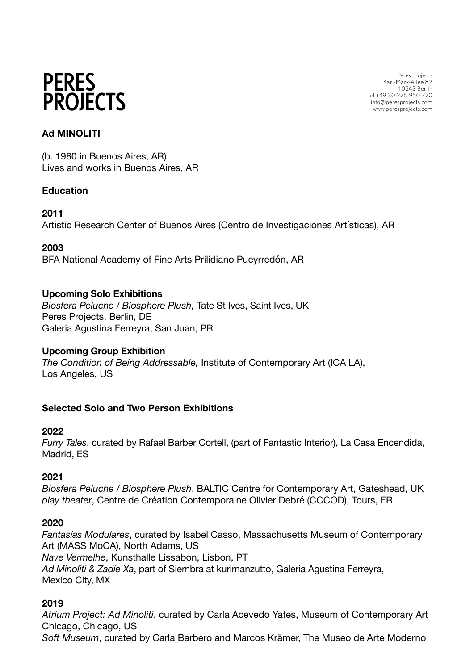Peres Projects Karl-Marx-Allee 82 10243 Berlin tel +49 30 275 950 770 info@peresprojects.com www.peresprojects.com

## **Ad MINOLITI**

(b. 1980 in Buenos Aires, AR) Lives and works in Buenos Aires, AR

## **Education**

**2011** Artistic Research Center of Buenos Aires (Centro de Investigaciones Artísticas), AR

**2003** BFA National Academy of Fine Arts Prilidiano Pueyrredón, AR

### **Upcoming Solo Exhibitions**

*Biosfera Peluche / Biosphere Plush,* Tate St Ives, Saint Ives, UK Peres Projects, Berlin, DE Galeria Agustina Ferreyra, San Juan, PR

### **Upcoming Group Exhibition**

*The Condition of Being Addressable,* Institute of Contemporary Art (ICA LA), Los Angeles, US

### **Selected Solo and Two Person Exhibitions**

### **2022**

*Furry Tales*, curated by Rafael Barber Cortell, (part of Fantastic Interior), La Casa Encendida, Madrid, ES

### **2021**

*Biosfera Peluche / Biosphere Plush*, BALTIC Centre for Contemporary Art, Gateshead, UK *play theater*, Centre de Création Contemporaine Olivier Debré (CCCOD), Tours, FR

### **2020**

*Fantasías Modulares*, curated by Isabel Casso, Massachusetts Museum of Contemporary Art (MASS MoCA), North Adams, US *Nave Vermelhe*, Kunsthalle Lissabon, Lisbon, PT *Ad Minoliti & Zadie Xa*, part of Siembra at kurimanzutto, Galería Agustina Ferreyra, Mexico City, MX

### **2019**

*Atrium Project: Ad Minoliti*, curated by Carla Acevedo Yates, Museum of Contemporary Art Chicago, Chicago, US

*Soft Museum*, curated by Carla Barbero and Marcos Krämer, The Museo de Arte Moderno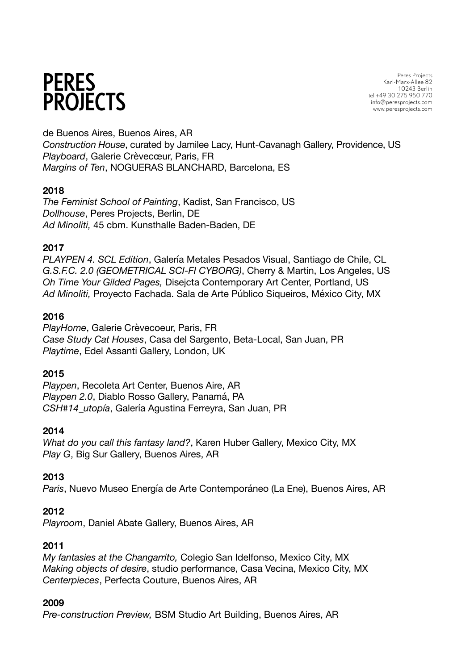Peres Projects Karl-Marx-Allee 82 10243 Berlin tel +49 30 275 950 770 info@peresprojects.com www.peresprojects.com

de Buenos Aires, Buenos Aires, AR

*Construction House*, curated by Jamilee Lacy, Hunt-Cavanagh Gallery, Providence, US *Playboard*, Galerie Crèvecœur, Paris, FR *Margins of Ten*, NOGUERAS BLANCHARD, Barcelona, ES

## **2018**

*The Feminist School of Painting*, Kadist, San Francisco, US *Dollhouse*, Peres Projects, Berlin, DE *Ad Minoliti,* 45 cbm. Kunsthalle Baden-Baden, DE

## **2017**

*PLAYPEN 4. SCL Edition*, Galería Metales Pesados Visual, Santiago de Chile, CL *G.S.F.C. 2.0 (GEOMETRICAL SCI-FI CYBORG)*, Cherry & Martin, Los Angeles, US *Oh Time Your Gilded Pages,* Disejcta Contemporary Art Center, Portland, US *Ad Minoliti,* Proyecto Fachada. Sala de Arte Público Siqueiros, México City, MX

### **2016**

*PlayHome*, Galerie Crèvecoeur, Paris, FR *Case Study Cat Houses*, Casa del Sargento, Beta-Local, San Juan, PR *Playtime*, Edel Assanti Gallery, London, UK

### **2015**

*Playpen*, Recoleta Art Center, Buenos Aire, AR *Playpen 2.0*, Diablo Rosso Gallery, Panamá, PA *CSH#14\_utopía*, Galería Agustina Ferreyra, San Juan, PR

### **2014**

*What do you call this fantasy land?*, Karen Huber Gallery, Mexico City, MX *Play G*, Big Sur Gallery, Buenos Aires, AR

## **2013**

*Paris*, Nuevo Museo Energía de Arte Contemporáneo (La Ene), Buenos Aires, AR

## **2012**

*Playroom*, Daniel Abate Gallery, Buenos Aires, AR

### **2011**

*My fantasies at the Changarrito,* Colegio San Idelfonso, Mexico City, MX *Making objects of desire*, studio performance, Casa Vecina, Mexico City, MX *Centerpieces*, Perfecta Couture, Buenos Aires, AR

## **2009**

*Pre-construction Preview,* BSM Studio Art Building, Buenos Aires, AR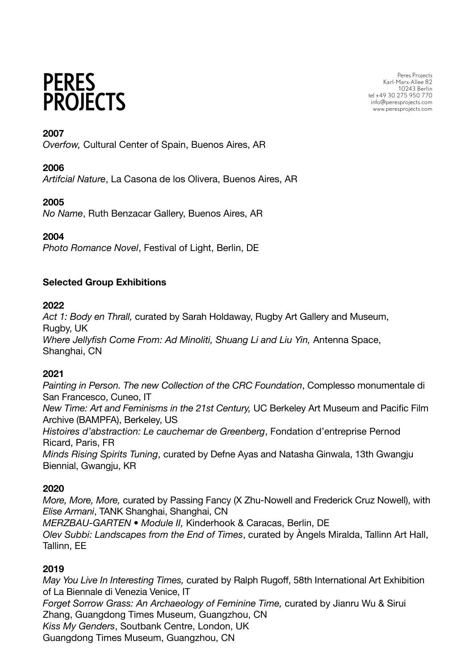Peres Projects Karl-Marx-Allee 82 10243 Berlin tel +49 30 275 950 770 info@peresprojects.com www.peresprojects.com

### **2007**

*Overfow,* Cultural Center of Spain, Buenos Aires, AR

### **2006**

*Artifcial Nature*, La Casona de los Olivera, Buenos Aires, AR

### **2005**

*No Name*, Ruth Benzacar Gallery, Buenos Aires, AR

### **2004**

*Photo Romance Novel*, Festival of Light, Berlin, DE

## **Selected Group Exhibitions**

### **2022**

*Act 1: Body en Thrall,* curated by Sarah Holdaway, Rugby Art Gallery and Museum, Rugby, UK *Where Jellyfish Come From: Ad Minoliti, Shuang Li and Liu Yin,* Antenna Space, Shanghai, CN

### **2021**

*Painting in Person. The new Collection of the CRC Foundation*, Complesso monumentale di San Francesco, Cuneo, IT *New Time: Art and Feminisms in the 21st Century,* UC Berkeley Art Museum and Pacific Film Archive (BAMPFA), Berkeley, US *Histoires d'abstraction: Le cauchemar de Greenberg*, Fondation d'entreprise Pernod Ricard, Paris, FR *Minds Rising Spirits Tuning*, curated by Defne Ayas and Natasha Ginwala, 13th Gwangju Biennial, Gwangiu, KR

### **2020**

*More, More, More,* curated by Passing Fancy (X Zhu-Nowell and Frederick Cruz Nowell), with *Elise Armani*, TANK Shanghai, Shanghai, CN *MERZBAU-GARTEN • Module II,* Kinderhook & Caracas, Berlin, DE *Olev Subbi: Landscapes from the End of Times*, curated by Àngels Miralda, Tallinn Art Hall, Tallinn, EE

### **2019**

*May You Live In Interesting Times,* curated by Ralph Rugoff, 58th International Art Exhibition of La Biennale di Venezia Venice, IT *Forget Sorrow Grass: An Archaeology of Feminine Time,* curated by Jianru Wu & Sirui Zhang, Guangdong Times Museum, Guangzhou, CN *Kiss My Genders*, Soutbank Centre, London, UK Guangdong Times Museum, Guangzhou, CN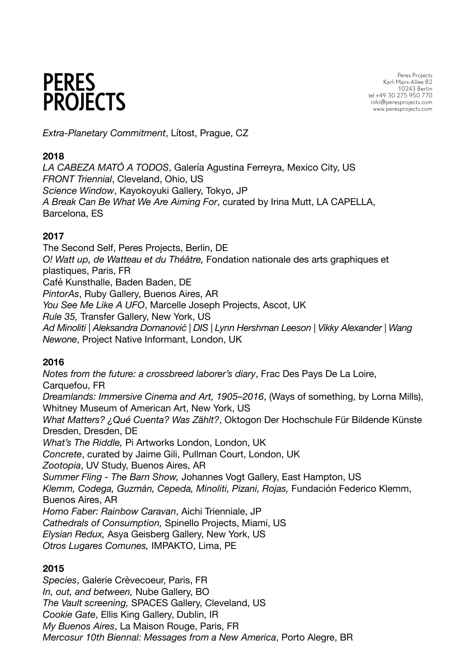Peres Projects Karl-Marx-Allee 82 10243 Berlin tel +49 30 275 950 770 info@peresprojects.com www.peresprojects.com

*Extra-Planetary Commitment*, Lítost, Prague, CZ

## **2018**

*LA CABEZA MATÓ A TODOS*, Galería Agustina Ferreyra, Mexico City, US *FRONT Triennial*, Cleveland, Ohio, US *Science Window*, Kayokoyuki Gallery, Tokyo, JP *A Break Can Be What We Are Aiming For*, curated by Irina Mutt, LA CAPELLA, Barcelona, ES

## **2017**

The Second Self, Peres Projects, Berlin, DE *O! Watt up, de Watteau et du Théâtre,* Fondation nationale des arts graphiques et plastiques, Paris, FR Café Kunsthalle, Baden Baden, DE *PintorAs*, Ruby Gallery, Buenos Aires, AR *You See Me Like A UFO*, Marcelle Joseph Projects, Ascot, UK *Rule 35,* Transfer Gallery, New York, US *Ad Minoliti | Aleksandra Domanović | DIS | Lynn Hershman Leeson | Vikky Alexander | Wang Newone*, Project Native Informant, London, UK

## **2016**

*Notes from the future: a crossbreed laborer's diary*, Frac Des Pays De La Loire, Carquefou, FR *Dreamlands: Immersive Cinema and Art, 1905–2016*, (Ways of something, by Lorna Mills), Whitney Museum of American Art, New York, US *What Matters? ¿Qué Cuenta? Was Zählt?*, Oktogon Der Hochschule Für Bildende Künste Dresden, Dresden, DE *What's The Riddle,* Pi Artworks London, London, UK *Concrete*, curated by Jaime Gili, Pullman Court, London, UK *Zootopia*, UV Study, Buenos Aires, AR *Summer Fling - The Barn Show,* Johannes Vogt Gallery, East Hampton, US *Klemm, Codega, Guzmán, Cepeda, Minoliti, Pizani, Rojas,* Fundación Federico Klemm, Buenos Aires, AR *Homo Faber: Rainbow Caravan*, Aichi Trienniale, JP *Cathedrals of Consumption,* Spinello Projects, Miami, US *Elysian Redux,* Asya Geisberg Gallery, New York, US *Otros Lugares Comunes,* IMPAKTO, Lima, PE

## **2015**

*Species*, Galerie Crèvecoeur, Paris, FR *In, out, and between,* Nube Gallery, BO *The Vault screening,* SPACES Gallery, Cleveland, US *Cookie Gate*, Ellis King Gallery, Dublin, IR *My Buenos Aires*, La Maison Rouge, Paris, FR *Mercosur 10th Biennal: Messages from a New America*, Porto Alegre, BR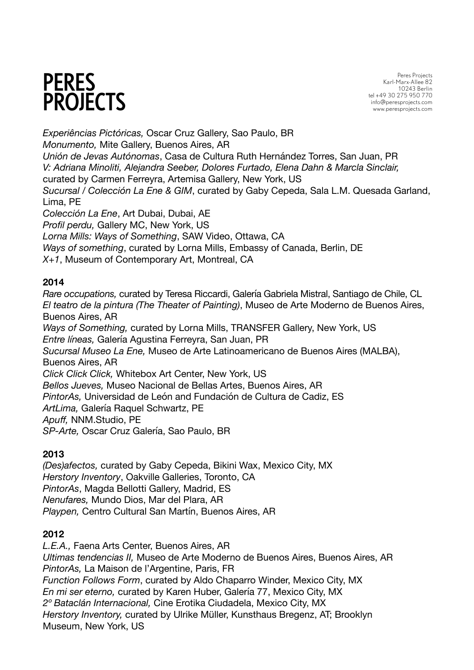Peres Projects Karl-Marx-Allee 82 10243 Berlin tel +49 30 275 950 770 info@peresprojects.com www.peresprojects.com

*Experiências Pictóricas,* Oscar Cruz Gallery, Sao Paulo, BR *Monumento,* Mite Gallery, Buenos Aires, AR *Unión de Jevas Autónomas*, Casa de Cultura Ruth Hernández Torres, San Juan, PR *V: Adriana Minoliti, Alejandra Seeber, Dolores Furtado, Elena Dahn & Marcla Sinclair,* curated by Carmen Ferreyra, Artemisa Gallery, New York, US *Sucursal / Colección La Ene & GIM*, curated by Gaby Cepeda, Sala L.M. Quesada Garland, Lima, PE *Colección La Ene*, Art Dubai, Dubai, AE *Profil perdu,* Gallery MC, New York, US *Lorna Mills: Ways of Something*, SAW Video, Ottawa, CA *Ways of something*, curated by Lorna Mills, Embassy of Canada, Berlin, DE *X+1*, Museum of Contemporary Art, Montreal, CA

## **2014**

*Rare occupations,* curated by Teresa Riccardi, Galería Gabriela Mistral, Santiago de Chile, CL *El teatro de la pintura (The Theater of Painting)*, Museo de Arte Moderno de Buenos Aires, Buenos Aires, AR *Ways of Something,* curated by Lorna Mills, TRANSFER Gallery, New York, US *Entre líneas,* Galería Agustina Ferreyra, San Juan, PR *Sucursal Museo La Ene,* Museo de Arte Latinoamericano de Buenos Aires (MALBA), Buenos Aires, AR *Click Click Click,* Whitebox Art Center, New York, US *Bellos Jueves,* Museo Nacional de Bellas Artes, Buenos Aires, AR *PintorAs,* Universidad de León and Fundación de Cultura de Cadiz, ES *ArtLima,* Galería Raquel Schwartz, PE *Apuff,* NNM.Studio, PE *SP-Arte,* Oscar Cruz Galería, Sao Paulo, BR

## **2013**

*(Des)afectos,* curated by Gaby Cepeda, Bikini Wax, Mexico City, MX *Herstory Inventory*, Oakville Galleries, Toronto, CA *PintorAs*, Magda Bellotti Gallery, Madrid, ES *Nenufares,* Mundo Dios, Mar del Plara, AR *Playpen,* Centro Cultural San Martín, Buenos Aires, AR

## **2012**

*L.E.A.,* Faena Arts Center, Buenos Aires, AR *Ultimas tendencias II,* Museo de Arte Moderno de Buenos Aires, Buenos Aires, AR *PintorAs,* La Maison de l'Argentine, Paris, FR *Function Follows Form*, curated by Aldo Chaparro Winder, Mexico City, MX *En mi ser eterno,* curated by Karen Huber, Galería 77, Mexico City, MX *2º Bataclán Internacional,* Cine Erotika Ciudadela, Mexico City, MX *Herstory Inventory,* curated by Ulrike Müller, Kunsthaus Bregenz, AT; Brooklyn Museum, New York, US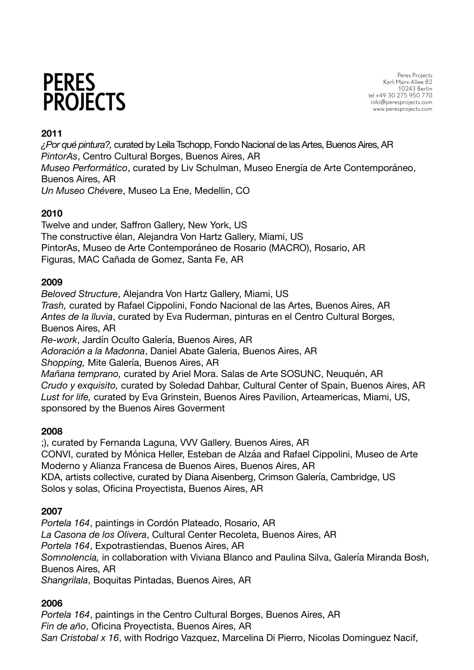Peres Projects Karl-Marx-Allee 82 10243 Berlin tel +49 30 275 950 770 info@peresprojects.com www.peresprojects.com

## **2011**

*¿Por qué pintura?,* curated by Leila Tschopp, Fondo Nacional de las Artes, Buenos Aires, AR *PintorAs*, Centro Cultural Borges, Buenos Aires, AR *Museo Performático*, curated by Liv Schulman, Museo Energía de Arte Contemporáneo, Buenos Aires, AR *Un Museo Chévere*, Museo La Ene, Medellin, CO

## **2010**

Twelve and under, Saffron Gallery, New York, US The constructive élan, Alejandra Von Hartz Gallery, Miami, US PintorAs, Museo de Arte Contemporáneo de Rosario (MACRO), Rosario, AR Figuras, MAC Cañada de Gomez, Santa Fe, AR

### **2009**

*Beloved Structure*, Alejandra Von Hartz Gallery, Miami, US *Trash,* curated by Rafael Cippolini, Fondo Nacional de las Artes, Buenos Aires, AR *Antes de la lluvia*, curated by Eva Ruderman, pinturas en el Centro Cultural Borges, Buenos Aires, AR *Re-work*, Jardín Oculto Galería, Buenos Aires, AR *Adoración a la Madonna*, Daniel Abate Galeria, Buenos Aires, AR *Shopping,* Mite Galería, Buenos Aires, AR *Mañana temprano,* curated by Ariel Mora. Salas de Arte SOSUNC, Neuquén, AR *Crudo y exquisito,* curated by Soledad Dahbar, Cultural Center of Spain, Buenos Aires, AR *Lust for life,* curated by Eva Grinstein, Buenos Aires Pavilion, Arteamericas, Miami, US, sponsored by the Buenos Aires Goverment

### **2008**

;), curated by Fernanda Laguna, VVV Gallery. Buenos Aires, AR CONVI, curated by Mónica Heller, Esteban de Alzáa and Rafael Cippolini, Museo de Arte Moderno y Alianza Francesa de Buenos Aires, Buenos Aires, AR KDA, artists collective, curated by Diana Aisenberg, Crimson Galería, Cambridge, US Solos y solas, Oficina Proyectista, Buenos Aires, AR

## **2007**

*Portela 164*, paintings in Cordón Plateado, Rosario, AR *La Casona de los Olivera*, Cultural Center Recoleta, Buenos Aires, AR *Portela 164*, Expotrastiendas, Buenos Aires, AR *Somnolencia,* in collaboration with Viviana Blanco and Paulina Silva, Galería Miranda Bosh, Buenos Aires, AR *Shangrilala*, Boquitas Pintadas, Buenos Aires, AR

## **2006**

*Portela 164*, paintings in the Centro Cultural Borges, Buenos Aires, AR *Fin de año*, Oficina Proyectista, Buenos Aires, AR *San Cristobal x 16*, with Rodrigo Vazquez, Marcelina Di Pierro, Nicolas Dominguez Nacif,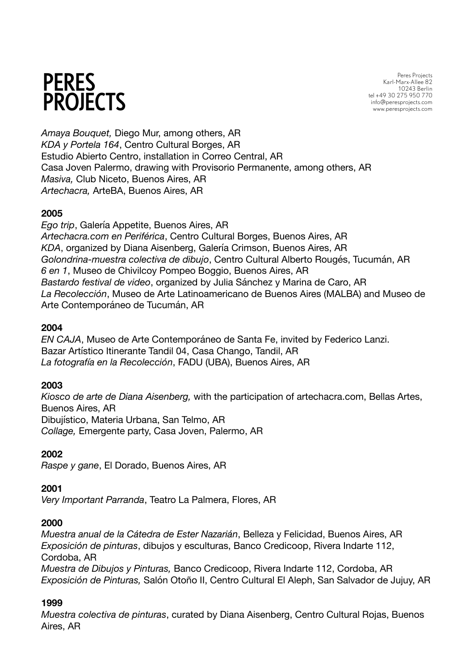Peres Projects Karl-Marx-Allee 82 10243 Berlin tel +49 30 275 950 770 info@peresprojects.com www.peresprojects.com

*Amaya Bouquet,* Diego Mur, among others, AR *KDA y Portela 164*, Centro Cultural Borges, AR Estudio Abierto Centro, installation in Correo Central, AR Casa Joven Palermo, drawing with Provisorio Permanente, among others, AR *Masiva,* Club Niceto, Buenos Aires, AR *Artechacra,* ArteBA, Buenos Aires, AR

## **2005**

*Ego trip*, Galería Appetite, Buenos Aires, AR *Artechacra.com en Periférica*, Centro Cultural Borges, Buenos Aires, AR *KDA*, organized by Diana Aisenberg, Galería Crimson, Buenos Aires, AR *Golondrina-muestra colectiva de dibujo*, Centro Cultural Alberto Rougés, Tucumán, AR *6 en 1*, Museo de Chivilcoy Pompeo Boggio, Buenos Aires, AR *Bastardo festival de video*, organized by Julia Sánchez y Marina de Caro, AR *La Recolección*, Museo de Arte Latinoamericano de Buenos Aires (MALBA) and Museo de Arte Contemporáneo de Tucumán, AR

### **2004**

*EN CAJA*, Museo de Arte Contemporáneo de Santa Fe, invited by Federico Lanzi. Bazar Artístico Itinerante Tandil 04, Casa Chango, Tandil, AR *La fotografía en la Recolección*, FADU (UBA), Buenos Aires, AR

### **2003**

*Kiosco de arte de Diana Aisenberg,* with the participation of artechacra.com, Bellas Artes, Buenos Aires, AR Dibujístico, Materia Urbana, San Telmo, AR *Collage,* Emergente party, Casa Joven, Palermo, AR

### **2002**

*Raspe y gane*, El Dorado, Buenos Aires, AR

### **2001**

*Very Important Parranda*, Teatro La Palmera, Flores, AR

### **2000**

*Muestra anual de la Cátedra de Ester Nazarián*, Belleza y Felicidad, Buenos Aires, AR *Exposición de pinturas*, dibujos y esculturas, Banco Credicoop, Rivera Indarte 112, Cordoba, AR

*Muestra de Dibujos y Pinturas,* Banco Credicoop, Rivera Indarte 112, Cordoba, AR *Exposición de Pinturas,* Salón Otoño II, Centro Cultural El Aleph, San Salvador de Jujuy, AR

### **1999**

*Muestra colectiva de pinturas*, curated by Diana Aisenberg, Centro Cultural Rojas, Buenos Aires, AR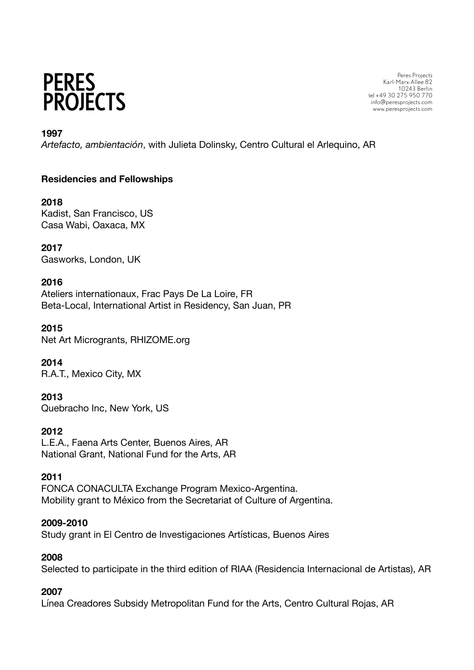Peres Projects Karl-Marx-Allee 82 10243 Berlin tel +49 30 275 950 770 info@peresprojects.com www.peresprojects.com

### **1997**

*Artefacto, ambientación*, with Julieta Dolinsky, Centro Cultural el Arlequino, AR

### **Residencies and Fellowships**

**2018** Kadist, San Francisco, US Casa Wabi, Oaxaca, MX

**2017** Gasworks, London, UK

### **2016**

Ateliers internationaux, Frac Pays De La Loire, FR Beta-Local, International Artist in Residency, San Juan, PR

**2015** Net Art Microgrants, RHIZOME.org

**2014** R.A.T., Mexico City, MX

**2013** Quebracho Inc, New York, US

**2012** L.E.A., Faena Arts Center, Buenos Aires, AR National Grant, National Fund for the Arts, AR

### **2011**

FONCA CONACULTA Exchange Program Mexico-Argentina. Mobility grant to México from the Secretariat of Culture of Argentina.

### **2009-2010**

Study grant in El Centro de Investigaciones Artísticas, Buenos Aires

### **2008**

Selected to participate in the third edition of RIAA (Residencia Internacional de Artistas), AR

### **2007**

Línea Creadores Subsidy Metropolitan Fund for the Arts, Centro Cultural Rojas, AR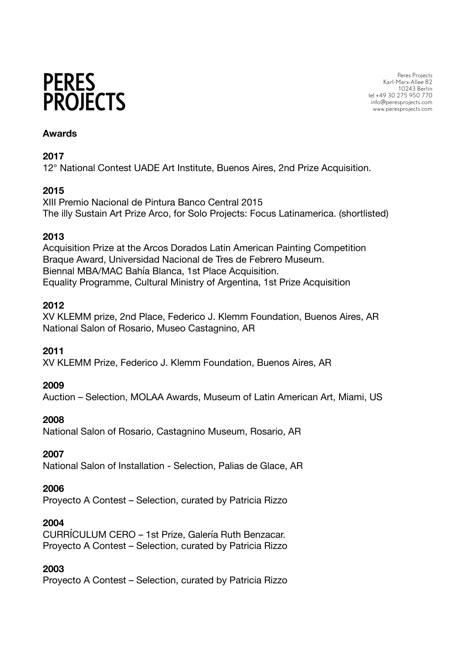Peres Projects Karl-Marx-Allee 82 10243 Berlin tel +49 30 275 950 770 info@peresprojects.com www.peresprojects.com

### **Awards**

### **2017**

12° National Contest UADE Art Institute, Buenos Aires, 2nd Prize Acquisition.

## **2015**

XIII Premio Nacional de Pintura Banco Central 2015 The illy Sustain Art Prize Arco, for Solo Projects: Focus Latinamerica. (shortlisted)

## **2013**

Acquisition Prize at the Arcos Dorados Latin American Painting Competition Braque Award, Universidad Nacional de Tres de Febrero Museum. Biennal MBA/MAC Bahía Blanca, 1st Place Acquisition. Equality Programme, Cultural Ministry of Argentina, 1st Prize Acquisition

## **2012**

XV KLEMM prize, 2nd Place, Federico J. Klemm Foundation, Buenos Aires, AR National Salon of Rosario, Museo Castagnino, AR

**2011**

XV KLEMM Prize, Federico J. Klemm Foundation, Buenos Aires, AR

## **2009**

Auction – Selection, MOLAA Awards, Museum of Latin American Art, Miami, US

## **2008**

National Salon of Rosario, Castagnino Museum, Rosario, AR

### **2007**

National Salon of Installation - Selection, Palias de Glace, AR

### **2006**

Proyecto A Contest – Selection, curated by Patricia Rizzo

## **2004**

CURRÍCULUM CERO – 1st Prize, Galería Ruth Benzacar. Proyecto A Contest – Selection, curated by Patricia Rizzo

### **2003**

Proyecto A Contest – Selection, curated by Patricia Rizzo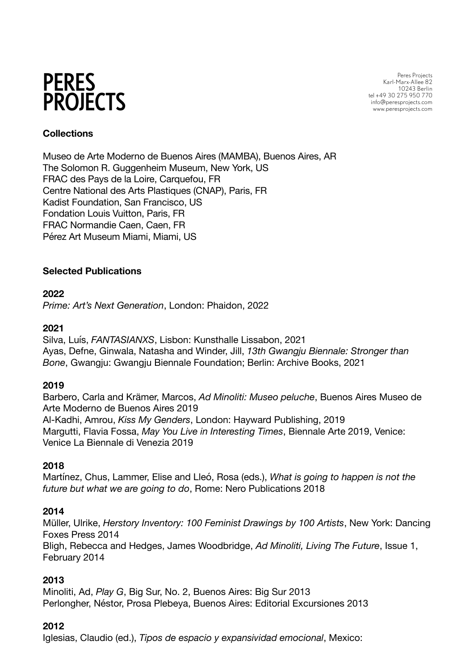

## **Collections**

Museo de Arte Moderno de Buenos Aires (MAMBA), Buenos Aires, AR The Solomon R. Guggenheim Museum, New York, US FRAC des Pays de la Loire, Carquefou, FR Centre National des Arts Plastiques (CNAP), Paris, FR Kadist Foundation, San Francisco, US Fondation Louis Vuitton, Paris, FR FRAC Normandie Caen, Caen, FR Pérez Art Museum Miami, Miami, US

### **Selected Publications**

### **2022**

*Prime: Art's Next Generation*, London: Phaidon, 2022

### **2021**

Silva, Luís, *FANTASIANXS*, Lisbon: Kunsthalle Lissabon, 2021 Ayas, Defne, Ginwala, Natasha and Winder, Jill, *13th Gwangju Biennale: Stronger than Bone*, Gwangju: Gwangju Biennale Foundation; Berlin: Archive Books, 2021

### **2019**

Barbero, Carla and Krämer, Marcos, *Ad Minoliti: Museo peluche*, Buenos Aires Museo de Arte Moderno de Buenos Aires 2019 Al-Kadhi, Amrou, *Kiss My Genders*, London: Hayward Publishing, 2019 Margutti, Flavia Fossa, *May You Live in Interesting Times*, Biennale Arte 2019, Venice: Venice La Biennale di Venezia 2019

## **2018**

Martínez, Chus, Lammer, Elise and Lleó, Rosa (eds.), *What is going to happen is not the future but what we are going to do*, Rome: Nero Publications 2018

### **2014**

Müller, Ulrike, *Herstory Inventory: 100 Feminist Drawings by 100 Artists*, New York: Dancing Foxes Press 2014

Bligh, Rebecca and Hedges, James Woodbridge, *Ad Minoliti, Living The Future*, Issue 1, February 2014

## **2013**

Minoliti, Ad, *Play G*, Big Sur, No. 2, Buenos Aires: Big Sur 2013 Perlongher, Néstor, Prosa Plebeya, Buenos Aires: Editorial Excursiones 2013

### **2012**

Iglesias, Claudio (ed.), *Tipos de espacio y expansividad emocional*, Mexico:

Peres Projects Karl-Marx-Allee 82 10243 Berlin tel +49 30 275 950 770 info@peresprojects.com www.peresprojects.com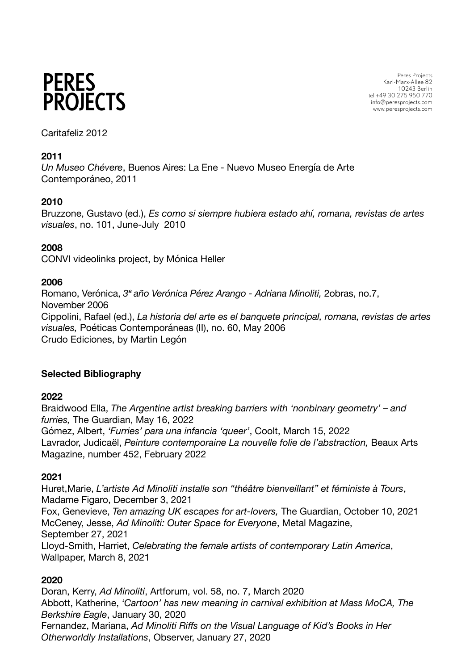

Peres Projects Karl-Marx-Allee 82 10243 Berlin tel +49 30 275 950 770 info@peresprojects.com www.peresprojects.com

Caritafeliz 2012

### **2011**

*Un Museo Chévere*, Buenos Aires: La Ene - Nuevo Museo Energía de Arte Contemporáneo, 2011

### **2010**

Bruzzone, Gustavo (ed.), *Es como si siempre hubiera estado ahí, romana, revistas de artes visuales*, no. 101, June-July 2010

### **2008**

CONVI videolinks project, by Mónica Heller

### **2006**

Romano, Verónica, *3ª año Verónica Pérez Arango - Adriana Minoliti,* 2obras, no.7, November 2006 Cippolini, Rafael (ed.), *La historia del arte es el banquete principal, romana, revistas de artes visuales,* Poéticas Contemporáneas (II), no. 60, May 2006 Crudo Ediciones, by Martin Legón

### **Selected Bibliography**

### **2022**

Braidwood Ella, *The Argentine artist breaking barriers with 'nonbinary geometry' – and furries,* The Guardian, May 16, 2022 Gómez, Albert, *'Furries' para una infancia 'queer'*, Coolt, March 15, 2022 Lavrador, Judicaël, *Peinture contemporaine La nouvelle folie de l'abstraction,* Beaux Arts Magazine, number 452, February 2022

### **2021**

Huret,Marie, *L'artiste Ad Minoliti installe son "théâtre bienveillant" et féministe à Tours*, Madame Figaro, December 3, 2021 Fox, Genevieve, *Ten amazing UK escapes for art-lovers,* The Guardian, October 10, 2021 McCeney, Jesse, *Ad Minoliti: Outer Space for Everyone*, Metal Magazine, September 27, 2021 Lloyd-Smith, Harriet, *Celebrating the female artists of contemporary Latin America*, Wallpaper, March 8, 2021

### **2020**

Doran, Kerry, *Ad Minoliti*, Artforum, vol. 58, no. 7, March 2020 Abbott, Katherine, *'Cartoon' has new meaning in carnival exhibition at Mass MoCA, The Berkshire Eagle*, January 30, 2020 Fernandez, Mariana, *Ad Minoliti Riffs on the Visual Language of Kid's Books in Her Otherworldly Installations*, Observer, January 27, 2020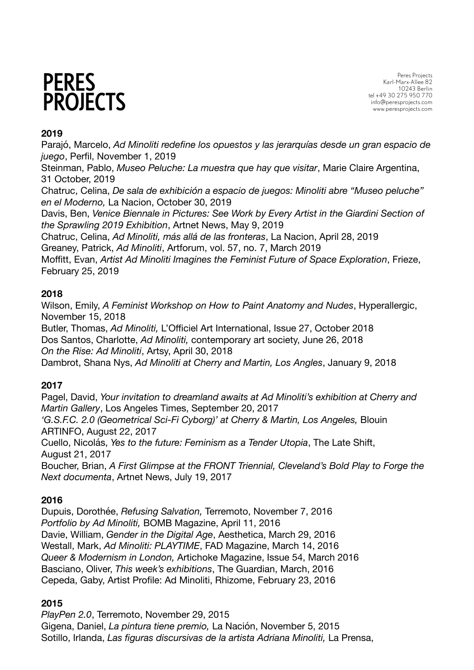Peres Projects Karl-Marx-Allee 82 10243 Berlin tel +49 30 275 950 770 info@peresprojects.com www.peresprojects.com

## **2019**

Parajó, Marcelo, *Ad Minoliti redefine los opuestos y las jerarquías desde un gran espacio de juego*, Perfil, November 1, 2019

Steinman, Pablo, *Museo Peluche: La muestra que hay que visitar*, Marie Claire Argentina, 31 October, 2019

Chatruc, Celina, *De sala de exhibición a espacio de juegos: Minoliti abre "Museo peluche" en el Moderno,* La Nacion, October 30, 2019

Davis, Ben, *Venice Biennale in Pictures: See Work by Every Artist in the Giardini Section of the Sprawling 2019 Exhibition*, Artnet News, May 9, 2019

Chatruc, Celina, *Ad Minoliti, más allá de las fronteras*, La Nacion, April 28, 2019 Greaney, Patrick, *Ad Minoliti*, Artforum, vol. 57, no. 7, March 2019

Moffitt, Evan, *Artist Ad Minoliti Imagines the Feminist Future of Space Exploration*, Frieze, February 25, 2019

## **2018**

Wilson, Emily, *A Feminist Workshop on How to Paint Anatomy and Nudes*, Hyperallergic, November 15, 2018

Butler, Thomas, *Ad Minoliti,* L'Officiel Art International, Issue 27, October 2018 Dos Santos, Charlotte, *Ad Minoliti,* contemporary art society, June 26, 2018 *On the Rise: Ad Minoliti*, Artsy, April 30, 2018

Dambrot, Shana Nys, *Ad Minoliti at Cherry and Martin, Los Angles*, January 9, 2018

## **2017**

Pagel, David, *Your invitation to dreamland awaits at Ad Minoliti's exhibition at Cherry and Martin Gallery*, Los Angeles Times, September 20, 2017

*'G.S.F.C. 2.0 (Geometrical Sci-Fi Cyborg)' at Cherry & Martin, Los Angeles,* Blouin ARTINFO, August 22, 2017

Cuello, Nicolás, *Yes to the future: Feminism as a Tender Utopia*, The Late Shift, August 21, 2017

Boucher, Brian, *A First Glimpse at the FRONT Triennial, Cleveland's Bold Play to Forge the Next documenta*, Artnet News, July 19, 2017

## **2016**

Dupuis, Dorothée, *Refusing Salvation,* Terremoto, November 7, 2016 *Portfolio by Ad Minoliti,* BOMB Magazine, April 11, 2016 Davie, William, *Gender in the Digital Age*, Aesthetica, March 29, 2016 Westall, Mark, *Ad Minoliti: PLAYTIME*, FAD Magazine, March 14, 2016 *Queer & Modernism in London,* Artichoke Magazine, Issue 54, March 2016 Basciano, Oliver, *This week's exhibitions*, The Guardian, March, 2016 Cepeda, Gaby, Artist Profile: Ad Minoliti, Rhizome, February 23, 2016

## **2015**

*PlayPen 2.0*, Terremoto, November 29, 2015 Gigena, Daniel, *La pintura tiene premio,* La Nación, November 5, 2015 Sotillo, Irlanda, *Las figuras discursivas de la artista Adriana Minoliti,* La Prensa,